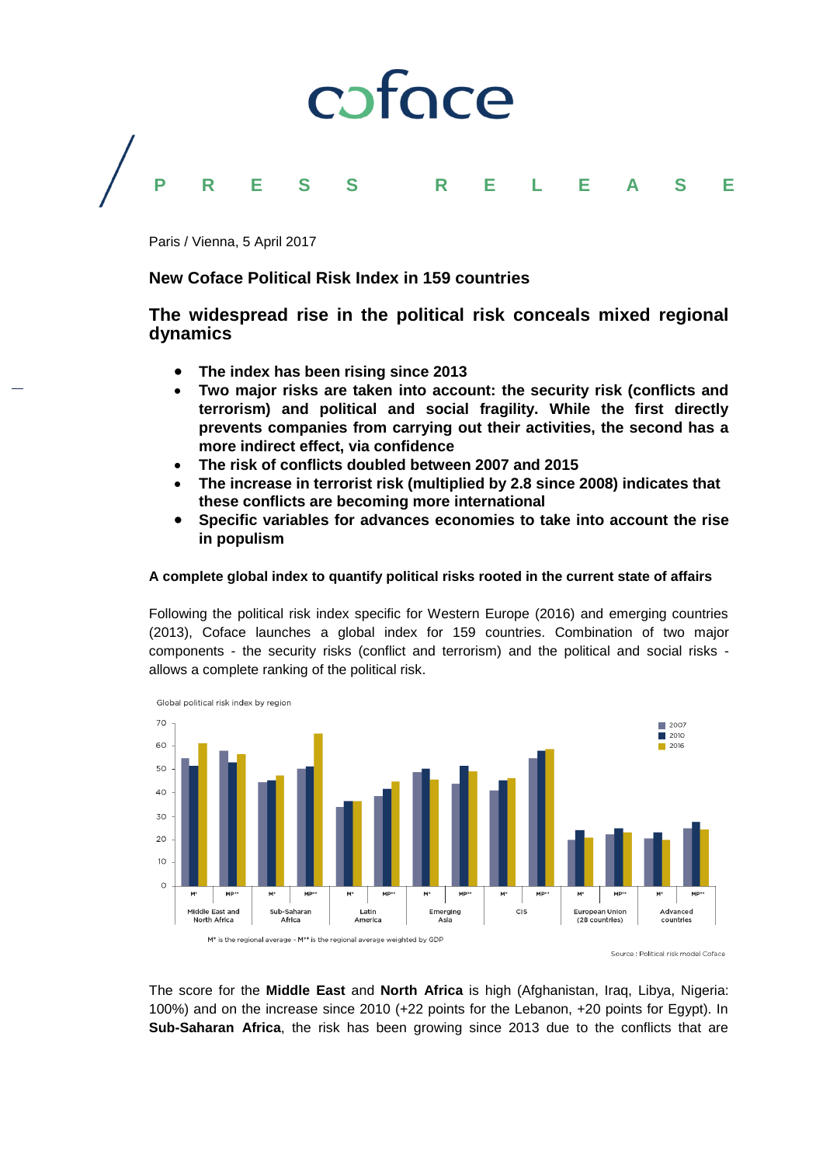# coface **PRESS R E L E A S E**

Paris / Vienna, 5 April 2017

### **New Coface Political Risk Index in 159 countries**

### **The widespread rise in the political risk conceals mixed regional dynamics**

- **The index has been rising since 2013**
- **Two major risks are taken into account: the security risk (conflicts and terrorism) and political and social fragility. While the first directly prevents companies from carrying out their activities, the second has a more indirect effect, via confidence**
- **The risk of conflicts doubled between 2007 and 2015**
- **The increase in terrorist risk (multiplied by 2.8 since 2008) indicates that these conflicts are becoming more international**
- **Specific variables for advances economies to take into account the rise in populism**

#### **A complete global index to quantify political risks rooted in the current state of affairs**

Following the political risk index specific for Western Europe (2016) and emerging countries (2013), Coface launches a global index for 159 countries. Combination of two major components - the security risks (conflict and terrorism) and the political and social risks allows a complete ranking of the political risk.



The score for the **Middle East** and **North Africa** is high (Afghanistan, Iraq, Libya, Nigeria: 100%) and on the increase since 2010 (+22 points for the Lebanon, +20 points for Egypt). In **Sub-Saharan Africa**, the risk has been growing since 2013 due to the conflicts that are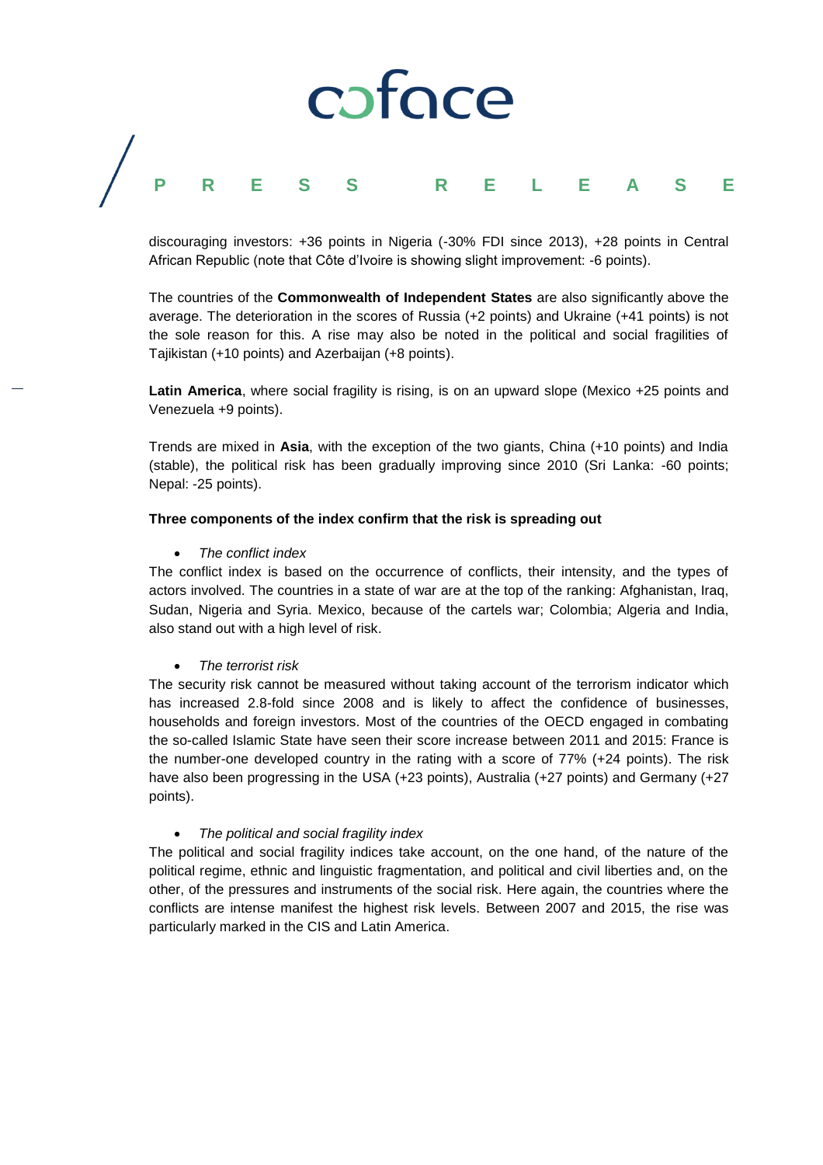# caface **PRESS R E L E A S E**

discouraging investors: +36 points in Nigeria (-30% FDI since 2013), +28 points in Central African Republic (note that Côte d'Ivoire is showing slight improvement: -6 points).

The countries of the **Commonwealth of Independent States** are also significantly above the average. The deterioration in the scores of Russia (+2 points) and Ukraine (+41 points) is not the sole reason for this. A rise may also be noted in the political and social fragilities of Tajikistan (+10 points) and Azerbaijan (+8 points).

**Latin America**, where social fragility is rising, is on an upward slope (Mexico +25 points and Venezuela +9 points).

Trends are mixed in **Asia**, with the exception of the two giants, China (+10 points) and India (stable), the political risk has been gradually improving since 2010 (Sri Lanka: -60 points; Nepal: -25 points).

#### **Three components of the index confirm that the risk is spreading out**

#### *The conflict index*

The conflict index is based on the occurrence of conflicts, their intensity, and the types of actors involved. The countries in a state of war are at the top of the ranking: Afghanistan, Iraq, Sudan, Nigeria and Syria. Mexico, because of the cartels war; Colombia; Algeria and India, also stand out with a high level of risk.

#### *The terrorist risk*

The security risk cannot be measured without taking account of the terrorism indicator which has increased 2.8-fold since 2008 and is likely to affect the confidence of businesses, households and foreign investors. Most of the countries of the OECD engaged in combating the so-called Islamic State have seen their score increase between 2011 and 2015: France is the number-one developed country in the rating with a score of 77% (+24 points). The risk have also been progressing in the USA (+23 points), Australia (+27 points) and Germany (+27 points).

#### *The political and social fragility index*

The political and social fragility indices take account, on the one hand, of the nature of the political regime, ethnic and linguistic fragmentation, and political and civil liberties and, on the other, of the pressures and instruments of the social risk. Here again, the countries where the conflicts are intense manifest the highest risk levels. Between 2007 and 2015, the rise was particularly marked in the CIS and Latin America.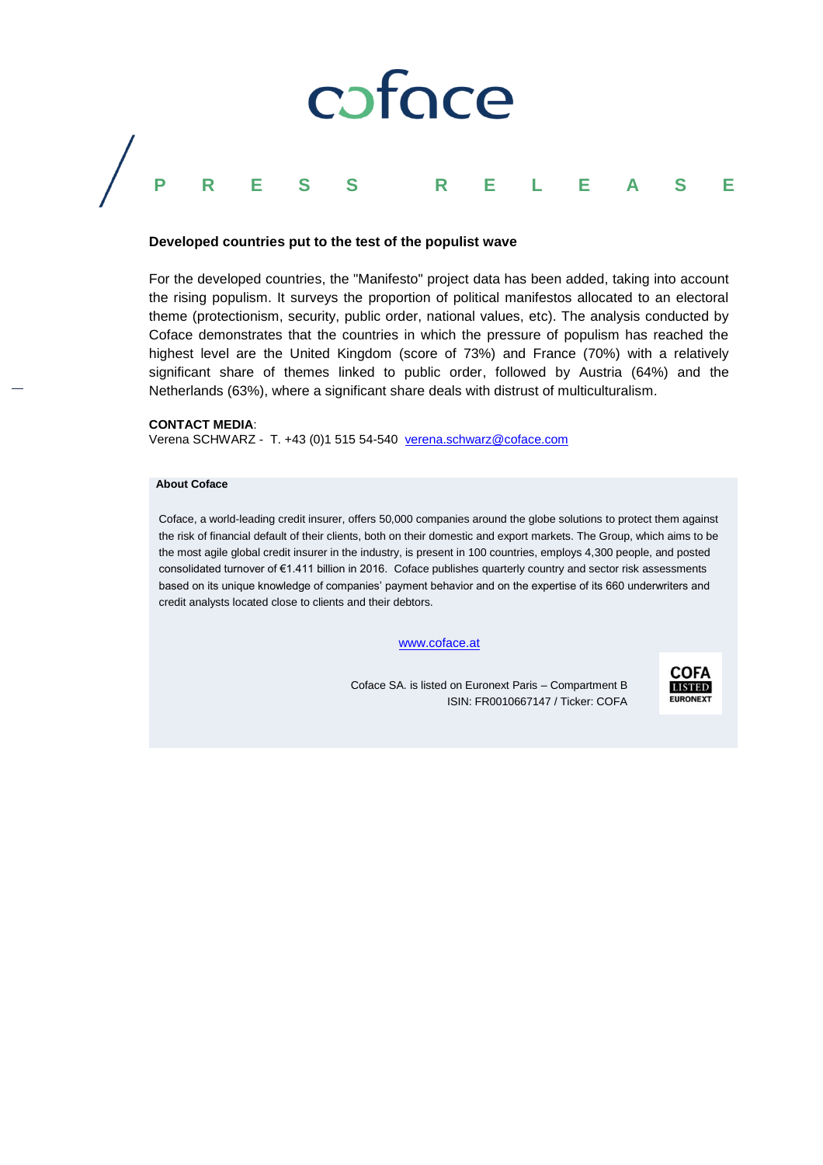

#### **Developed countries put to the test of the populist wave**

For the developed countries, the "Manifesto" project data has been added, taking into account the rising populism. It surveys the proportion of political manifestos allocated to an electoral theme (protectionism, security, public order, national values, etc). The analysis conducted by Coface demonstrates that the countries in which the pressure of populism has reached the highest level are the United Kingdom (score of 73%) and France (70%) with a relatively significant share of themes linked to public order, followed by Austria (64%) and the Netherlands (63%), where a significant share deals with distrust of multiculturalism.

#### **CONTACT MEDIA**:

Verena SCHWARZ - T. +43 (0)1 515 54-540 [verena.schwarz@coface.com](mailto:verena.schwarz@coface.com)

#### **About Coface**

Coface, a world-leading credit insurer, offers 50,000 companies around the globe solutions to protect them against the risk of financial default of their clients, both on their domestic and export markets. The Group, which aims to be the most agile global credit insurer in the industry, is present in 100 countries, employs 4,300 people, and posted consolidated turnover of €1.411 billion in 2016. Coface publishes quarterly country and sector risk assessments based on its unique knowledge of companies' payment behavior and on the expertise of its 660 underwriters and credit analysts located close to clients and their debtors.

#### [www.coface.at](http://www.coface.at/)

Coface SA. is listed on Euronext Paris – Compartment B ISIN: FR0010667147 / Ticker: COFA